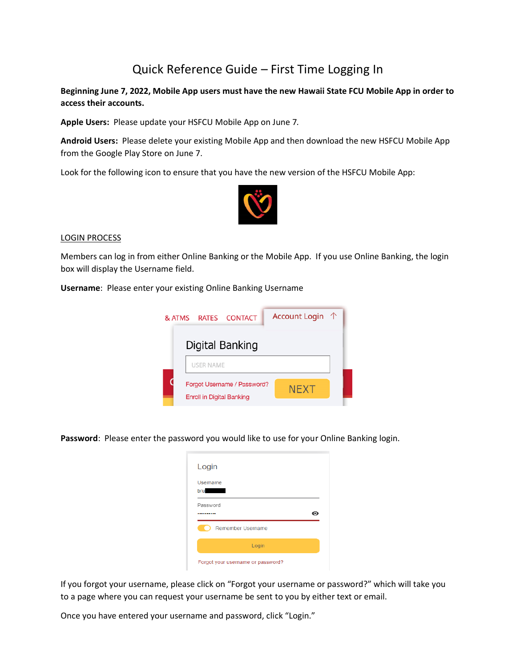# Quick Reference Guide – First Time Logging In

**Beginning June 7, 2022, Mobile App users must have the new Hawaii State FCU Mobile App in order to access their accounts.** 

**Apple Users:**Please update your HSFCU Mobile App on June 7*.* 

**Android Users:**Please delete your existing Mobile App and then download the new HSFCU Mobile App from the Google Play Store on June 7.

Look for the following icon to ensure that you have the new version of the HSFCU Mobile App:



#### LOGIN PROCESS

Members can log in from either Online Banking or the Mobile App. If you use Online Banking, the login box will display the Username field.

**Username**: Please enter your existing Online Banking Username



**Password**: Please enter the password you would like to use for your Online Banking login.

| Login             |   |
|-------------------|---|
| Username          |   |
| <b>bru</b>        |   |
| Password<br>      | ⊙ |
| Remember Username |   |
|                   |   |

If you forgot your username, please click on "Forgot your username or password?" which will take you to a page where you can request your username be sent to you by either text or email.

Once you have entered your username and password, click "Login."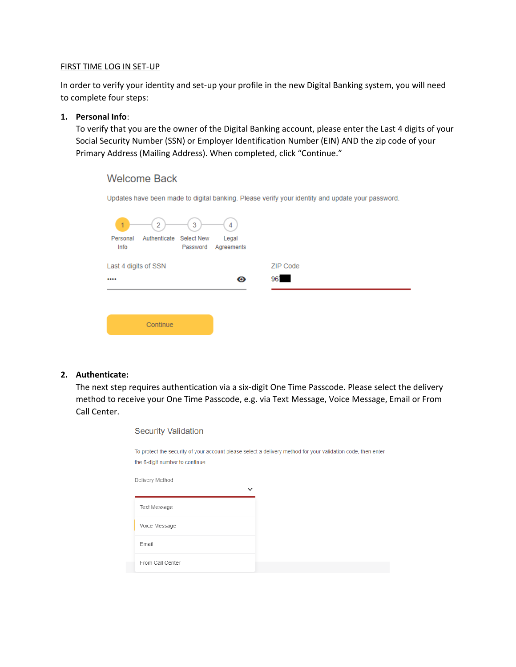#### FIRST TIME LOG IN SET-UP

In order to verify your identity and set-up your profile in the new Digital Banking system, you will need to complete four steps:

## **1. Personal Info**:

To verify that you are the owner of the Digital Banking account, please enter the Last 4 digits of your Social Security Number (SSN) or Employer Identification Number (EIN) AND the zip code of your Primary Address (Mailing Address). When completed, click "Continue."

# **Welcome Back**

Updates have been made to digital banking. Please verify your identity and update your password.

| $\mathbf{1}$<br>Personal<br>Info | 2<br>Authenticate Select New | 3 | 4<br>Legal<br>Password Agreements |          |  |
|----------------------------------|------------------------------|---|-----------------------------------|----------|--|
| Last 4 digits of SSN             |                              |   |                                   | ZIP Code |  |
| $$                               |                              |   | ◉                                 | 961      |  |
|                                  |                              |   |                                   |          |  |
|                                  | Continue                     |   |                                   |          |  |

## **2. Authenticate:**

The next step requires authentication via a six-digit One Time Passcode. Please select the delivery method to receive your One Time Passcode, e.g. via Text Message, Voice Message, Email or From Call Center.

| <b>Security Validation</b>      |                                                                                                              |
|---------------------------------|--------------------------------------------------------------------------------------------------------------|
| the 6-digit number to continue. | To protect the security of your account please select a delivery method for your validation code, then enter |
| Delivery Method<br>$\check{ }$  |                                                                                                              |
| Text Message                    |                                                                                                              |
| Voice Message                   |                                                                                                              |
| Email                           |                                                                                                              |
| From Call Center                |                                                                                                              |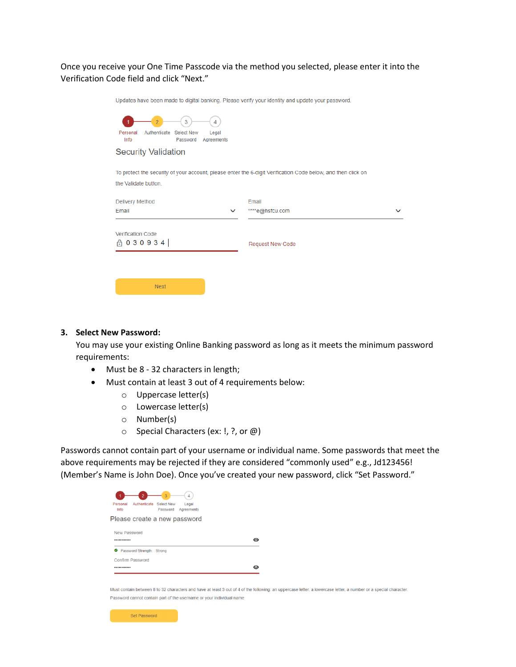## Once you receive your One Time Passcode via the method you selected, please enter it into the Verification Code field and click "Next."

| Updates have been made to digital banking. Please verify your identity and update your password.                                     |                         |  |
|--------------------------------------------------------------------------------------------------------------------------------------|-------------------------|--|
| 3<br>4<br>Authenticate Select New<br>Personal<br>Legal<br>Password<br>Agreements<br>Info                                             |                         |  |
| <b>Security Validation</b>                                                                                                           |                         |  |
| To protect the security of your account, please enter the 6-digit Verification Code below, and then click on<br>the Validate button. |                         |  |
| Delivery Method                                                                                                                      | Email                   |  |
| Email                                                                                                                                | ****e@hsfcu.com         |  |
| Verification Code                                                                                                                    | <b>Request New Code</b> |  |
| <b>Next</b>                                                                                                                          |                         |  |

#### **3. Select New Password:**

You may use your existing Online Banking password as long as it meets the minimum password requirements:

- Must be 8 32 characters in length;
- Must contain at least 3 out of 4 requirements below:
	- o Uppercase letter(s)
	- o Lowercase letter(s)
	- o Number(s)
	- o Special Characters (ex: !, ?, or @)

Passwords cannot contain part of your username or individual name. Some passwords that meet the above requirements may be rejected if they are considered "commonly used" e.g., Jd123456! (Member's Name is John Doe). Once you've created your new password, click "Set Password."

| Personal<br>Authenticate Select New<br>Legal<br>Info<br>Password<br>Agreements |  |
|--------------------------------------------------------------------------------|--|
| Please create a new password                                                   |  |
| New Password<br>                                                               |  |
| Password Strength: : Strong<br>అ                                               |  |
|                                                                                |  |
| Confirm Password                                                               |  |

Must contain between 8 to 32 characters and have at least 3 out of 4 of the following: an uppercase letter, a lowercase letter, a number or a special character. Password cannot contain part of the username or your individual name

| Set Password |  |
|--------------|--|
|--------------|--|